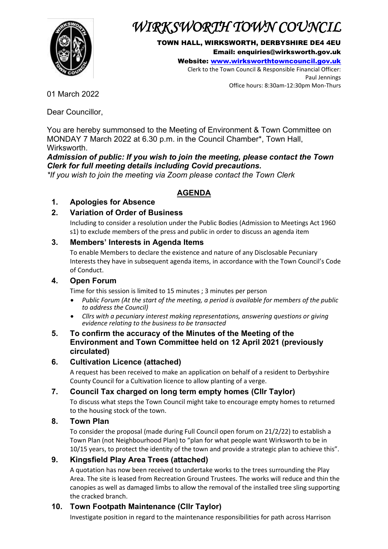

# *WIRKSWORTH TOWN COUNCIL*

#### TOWN HALL, WIRKSWORTH, DERBYSHIRE DE4 4EU Email: enquiries@wirksworth.gov.uk

Website: [www.wirksworthtowncouncil.gov.uk](http://www.wirksworthtowncouncil.gov.uk/) Clerk to the Town Council & Responsible Financial Officer: Paul Jennings

Office hours: 8:30am-12:30pm Mon-Thurs

01 March 2022

Dear Councillor,

You are hereby summonsed to the Meeting of Environment & Town Committee on MONDAY 7 March 2022 at 6.30 p.m. in the Council Chamber\*, Town Hall, **Wirksworth** 

#### *Admission of public: If you wish to join the meeting, please contact the Town Clerk for full meeting details including Covid precautions.*

*\*If you wish to join the meeting via Zoom please contact the Town Clerk*

# **AGENDA**

# **1. Apologies for Absence**

# **2. Variation of Order of Business**

Including to consider a resolution under the Public Bodies (Admission to Meetings Act 1960 s1) to exclude members of the press and public in order to discuss an agenda item

### **3. Members' Interests in Agenda Items**

To enable Members to declare the existence and nature of any Disclosable Pecuniary Interests they have in subsequent agenda items, in accordance with the Town Council's Code of Conduct.

#### **4. Open Forum**

Time for this session is limited to 15 minutes ; 3 minutes per person

- *Public Forum (At the start of the meeting, a period is available for members of the public to address the Council)*
- *Cllrs with a pecuniary interest making representations, answering questions or giving evidence relating to the business to be transacted*

#### **5. To confirm the accuracy of the Minutes of the Meeting of the Environment and Town Committee held on 12 April 2021 (previously circulated)**

# **6. Cultivation Licence (attached)**

A request has been received to make an application on behalf of a resident to Derbyshire County Council for a Cultivation licence to allow planting of a verge.

# **7. Council Tax charged on long term empty homes (Cllr Taylor)**

To discuss what steps the Town Council might take to encourage empty homes to returned to the housing stock of the town.

# **8. Town Plan**

To consider the proposal (made during Full Council open forum on 21/2/22) to establish a Town Plan (not Neighbourhood Plan) to "plan for what people want Wirksworth to be in 10/15 years, to protect the identity of the town and provide a strategic plan to achieve this".

# **9. Kingsfield Play Area Trees (attached)**

A quotation has now been received to undertake works to the trees surrounding the Play Area. The site is leased from Recreation Ground Trustees. The works will reduce and thin the canopies as well as damaged limbs to allow the removal of the installed tree sling supporting the cracked branch.

# **10. Town Footpath Maintenance (Cllr Taylor)**

Investigate position in regard to the maintenance responsibilities for path across Harrison